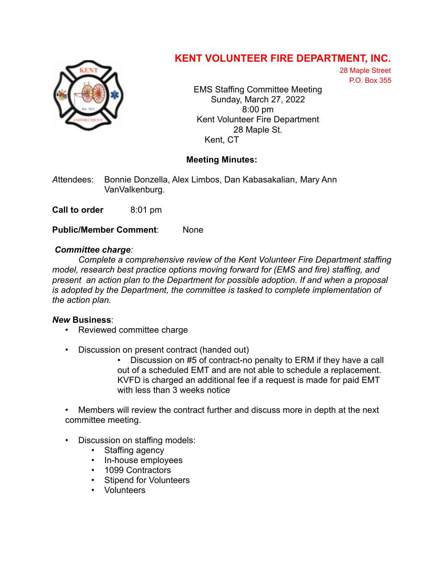

## **KENT VOLUNTEER FIRE DEPARTMENT, INC.**

28 Maple Street P.O. Box 355

EMS Staffing Committee Meeting Sunday, March 27, 2022 8:00 pm Kent Volunteer Fire Department 28 Maple St. Kent, CT

## **Meeting Minutes:**

*A*ttendees: Bonnie Donzella, Alex Limbos, Dan Kabasakalian, Mary Ann VanValkenburg.

**Call to order** 8:01 pm

**Public/Member Comment**: None

## *Committee charge:*

*Complete a comprehensive review of the Kent Volunteer Fire Department staffing model, research best practice options moving forward for (EMS and fire) staffing, and present an action plan to the Department for possible adoption. If and when a proposal is adopted by the Department, the committee is tasked to complete implementation of the action plan.*

## *New* **Business**:

- Reviewed committee charge
- Discussion on present contract (handed out)

• Discussion on #5 of contract-no penalty to ERM if they have a call out of a scheduled EMT and are not able to schedule a replacement. KVFD is charged an additional fee if a request is made for paid EMT with less than 3 weeks notice

• Members will review the contract further and discuss more in depth at the next committee meeting.

- Discussion on staffing models:
	- Staffing agency
	- In-house employees
	- 1099 Contractors
	- Stipend for Volunteers
	- Volunteers